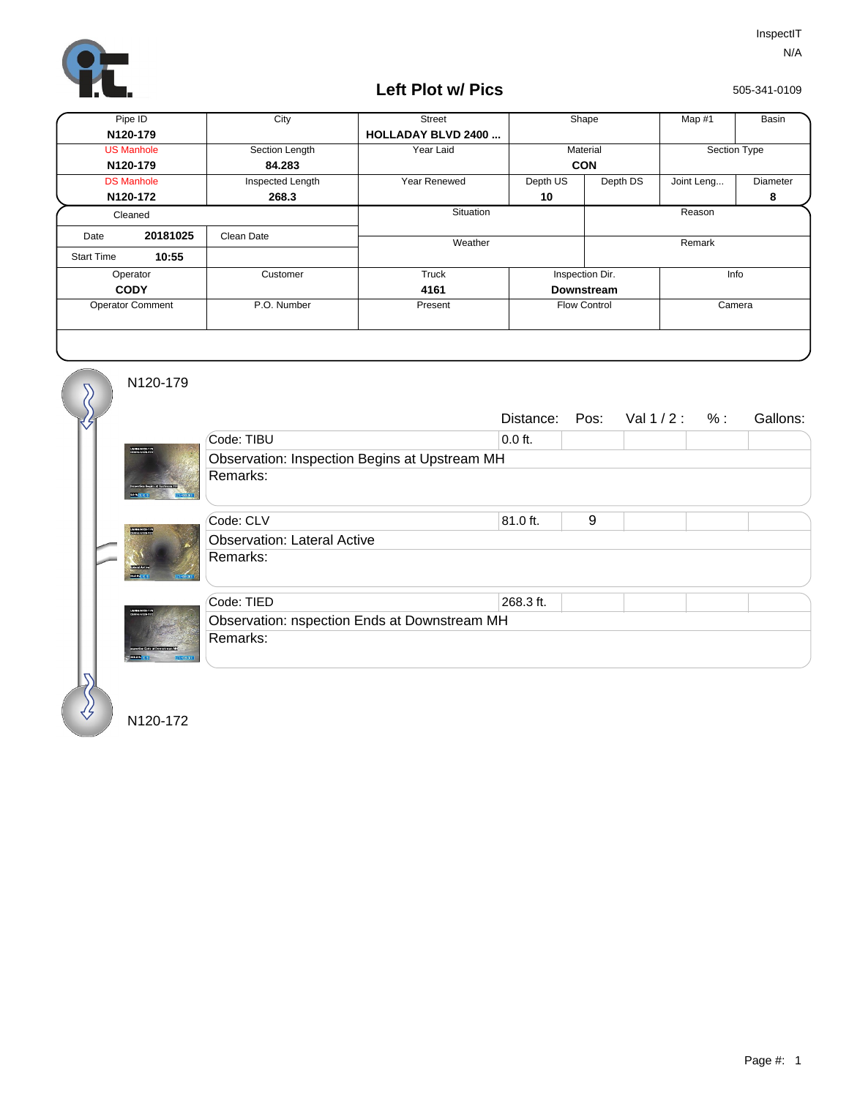

## **Left Plot w/ Pics**

505-341-0109

| Pipe ID                 |          | City             | <b>Street</b>              | Shape               |          | Map #1       | Basin    |  |
|-------------------------|----------|------------------|----------------------------|---------------------|----------|--------------|----------|--|
| N120-179                |          |                  | <b>HOLLADAY BLVD 2400 </b> |                     |          |              |          |  |
| <b>US Manhole</b>       |          | Section Length   | Year Laid                  | Material            |          | Section Type |          |  |
| N120-179                |          | 84.283           |                            | <b>CON</b>          |          |              |          |  |
| <b>DS Manhole</b>       |          | Inspected Length | Year Renewed               | Depth US            | Depth DS | Joint Leng   | Diameter |  |
| N120-172                |          | 268.3            |                            | 10                  |          |              | 8        |  |
| Cleaned                 |          |                  | Situation                  |                     |          | Reason       |          |  |
| Date                    | 20181025 | Clean Date       | Weather                    |                     |          |              | Remark   |  |
| <b>Start Time</b>       | 10:55    |                  |                            |                     |          |              |          |  |
| Operator                |          | Customer         | Truck                      | Inspection Dir.     |          | Info         |          |  |
| <b>CODY</b>             |          |                  | 4161                       | <b>Downstream</b>   |          |              |          |  |
| <b>Operator Comment</b> |          | P.O. Number      | Present                    | <b>Flow Control</b> |          | Camera       |          |  |
|                         |          |                  |                            |                     |          |              |          |  |

N120-179

 $\delta$ 

∜

|                                                         |                                               |           |   | Distance: Pos: $Val1/2: %:$ |  | Gallons: |  |  |  |
|---------------------------------------------------------|-----------------------------------------------|-----------|---|-----------------------------|--|----------|--|--|--|
| UNNINHERS 179<br>seator Bogins of Updrains<br>170003003 | Code: TIBU                                    | $0.0$ ft. |   |                             |  |          |  |  |  |
|                                                         | Observation: Inspection Begins at Upstream MH |           |   |                             |  |          |  |  |  |
|                                                         | Remarks:                                      |           |   |                             |  |          |  |  |  |
|                                                         | Code: CLV                                     | 81.0 ft.  | 9 |                             |  |          |  |  |  |
| USV 000123-17                                           | <b>Observation: Lateral Active</b>            |           |   |                             |  |          |  |  |  |
| <b>COMPANY</b>                                          | Remarks:                                      |           |   |                             |  |          |  |  |  |
|                                                         | Code: TIED                                    | 268.3 ft. |   |                             |  |          |  |  |  |
| UNNIMERITY<br>X1111<br><b><i><u>CONSTRUCTS</u></i></b>  | Observation: nspection Ends at Downstream MH  |           |   |                             |  |          |  |  |  |
|                                                         | Remarks:                                      |           |   |                             |  |          |  |  |  |
|                                                         |                                               |           |   |                             |  |          |  |  |  |

N120-172